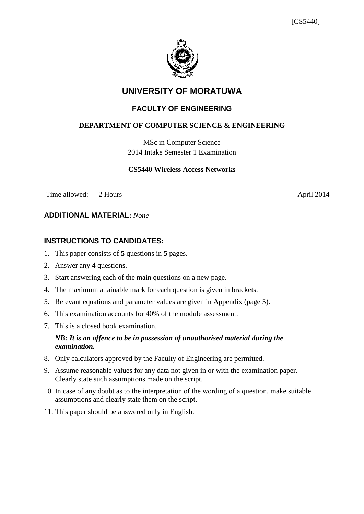

# **UNIVERSITY OF MORATUWA**

# **FACULTY OF ENGINEERING**

#### **DEPARTMENT OF COMPUTER SCIENCE & ENGINEERING**

MSc in Computer Science 2014 Intake Semester 1 Examination

#### **CS5440 Wireless Access Networks**

Time allowed: 2 Hours April 2014

#### **ADDITIONAL MATERIAL:** *None*

# **INSTRUCTIONS TO CANDIDATES:**

- 1. This paper consists of **5** questions in **5** pages.
- 2. Answer any **4** questions.
- 3. Start answering each of the main questions on a new page.
- 4. The maximum attainable mark for each question is given in brackets.
- 5. Relevant equations and parameter values are given in Appendix (page 5).
- 6. This examination accounts for 40% of the module assessment.
- 7. This is a closed book examination.

#### *NB: It is an offence to be in possession of unauthorised material during the examination.*

- 8. Only calculators approved by the Faculty of Engineering are permitted.
- 9. Assume reasonable values for any data not given in or with the examination paper. Clearly state such assumptions made on the script.
- 10. In case of any doubt as to the interpretation of the wording of a question, make suitable assumptions and clearly state them on the script.
- 11. This paper should be answered only in English.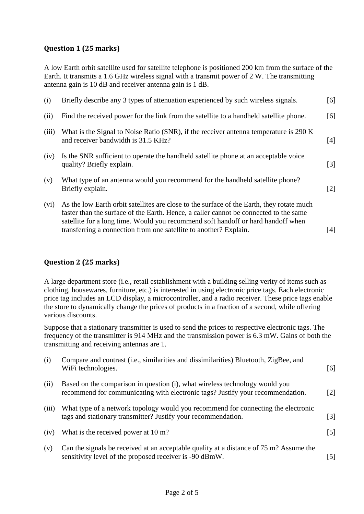#### **Question 1 (25 marks)**

A low Earth orbit satellite used for satellite telephone is positioned 200 km from the surface of the Earth. It transmits a 1.6 GHz wireless signal with a transmit power of 2 W. The transmitting antenna gain is 10 dB and receiver antenna gain is 1 dB.

| (i)   | Briefly describe any 3 types of attenuation experienced by such wireless signals.                                                                                                                                                                                                                                                           | [6]               |
|-------|---------------------------------------------------------------------------------------------------------------------------------------------------------------------------------------------------------------------------------------------------------------------------------------------------------------------------------------------|-------------------|
| (ii)  | Find the received power for the link from the satellite to a handheld satellite phone.                                                                                                                                                                                                                                                      | [6]               |
| (iii) | What is the Signal to Noise Ratio (SNR), if the receiver antenna temperature is 290 K<br>and receiver bandwidth is 31.5 KHz?                                                                                                                                                                                                                | [4]               |
| (iv)  | Is the SNR sufficient to operate the handheld satellite phone at an acceptable voice<br>quality? Briefly explain.                                                                                                                                                                                                                           | $\lceil 3 \rceil$ |
| (v)   | What type of an antenna would you recommend for the handheld satellite phone?<br>Briefly explain.                                                                                                                                                                                                                                           | $\lceil 2 \rceil$ |
| (vi)  | As the low Earth orbit satellites are close to the surface of the Earth, they rotate much<br>faster than the surface of the Earth. Hence, a caller cannot be connected to the same<br>satellite for a long time. Would you recommend soft handoff or hard handoff when<br>transferring a connection from one satellite to another? Explain. | [4]               |

#### **Question 2 (25 marks)**

A large department store (i.e., retail establishment with a building selling verity of items such as clothing, housewares, furniture, etc.) is interested in using electronic price tags. Each electronic price tag includes an LCD display, a microcontroller, and a radio receiver. These price tags enable the store to dynamically change the prices of products in a fraction of a second, while offering various discounts.

Suppose that a stationary transmitter is used to send the prices to respective electronic tags. The frequency of the transmitter is 914 MHz and the transmission power is 6.3 mW. Gains of both the transmitting and receiving antennas are 1.

| (i)   | Compare and contrast (i.e., similarities and dissimilarities) Bluetooth, ZigBee, and<br>WiFi technologies.                                                    | [6]               |
|-------|---------------------------------------------------------------------------------------------------------------------------------------------------------------|-------------------|
| (ii)  | Based on the comparison in question (i), what wireless technology would you<br>recommend for communicating with electronic tags? Justify your recommendation. | $\lceil 2 \rceil$ |
| (iii) | What type of a network topology would you recommend for connecting the electronic<br>tags and stationary transmitter? Justify your recommendation.            | $\lceil 3 \rceil$ |
| (iv)  | What is the received power at 10 m?                                                                                                                           | $\lceil 5 \rceil$ |
| (v)   | Can the signals be received at an acceptable quality at a distance of 75 m? Assume the<br>sensitivity level of the proposed receiver is -90 dBmW.             | [5]               |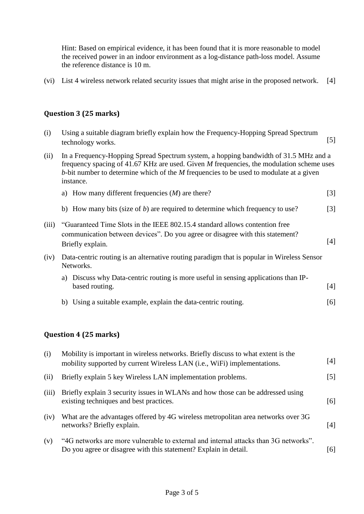Hint: Based on empirical evidence, it has been found that it is more reasonable to model the received power in an indoor environment as a log-distance path-loss model. Assume the reference distance is 10 m.

(vi) List 4 wireless network related security issues that might arise in the proposed network. [4]

# **Question 3 (25 marks)**

| (i)   | Using a suitable diagram briefly explain how the Frequency-Hopping Spread Spectrum<br>technology works.                                                                                                                                                                                   | $[5]$             |
|-------|-------------------------------------------------------------------------------------------------------------------------------------------------------------------------------------------------------------------------------------------------------------------------------------------|-------------------|
| (ii)  | In a Frequency-Hopping Spread Spectrum system, a hopping bandwidth of 31.5 MHz and a<br>frequency spacing of 41.67 KHz are used. Given M frequencies, the modulation scheme uses<br>b-bit number to determine which of the $M$ frequencies to be used to modulate at a given<br>instance. |                   |
|       | a) How many different frequencies $(M)$ are there?                                                                                                                                                                                                                                        | $\lceil 3 \rceil$ |
|       | b) How many bits (size of $b$ ) are required to determine which frequency to use?                                                                                                                                                                                                         | $\lceil 3 \rceil$ |
| (iii) | "Guaranteed Time Slots in the IEEE 802.15.4 standard allows contention free<br>communication between devices". Do you agree or disagree with this statement?<br>Briefly explain.                                                                                                          | [4]               |
| (iv)  | Data-centric routing is an alternative routing paradigm that is popular in Wireless Sensor<br>Networks.                                                                                                                                                                                   |                   |
|       | a) Discuss why Data-centric routing is more useful in sensing applications than IP-<br>based routing.                                                                                                                                                                                     | [4]               |
|       | Using a suitable example, explain the data-centric routing.<br>b)                                                                                                                                                                                                                         | [6]               |

# **Question 4 (25 marks)**

| (i)   | Mobility is important in wireless networks. Briefly discuss to what extent is the<br>mobility supported by current Wireless LAN (i.e., WiFi) implementations. | [4]   |
|-------|---------------------------------------------------------------------------------------------------------------------------------------------------------------|-------|
| (ii)  | Briefly explain 5 key Wireless LAN implementation problems.                                                                                                   | $[5]$ |
| (iii) | Briefly explain 3 security issues in WLANs and how those can be addressed using<br>existing techniques and best practices.                                    | [6]   |
| (iv)  | What are the advantages offered by 4G wireless metropolitan area networks over 3G<br>networks? Briefly explain.                                               | [4]   |
| (v)   | "4G networks are more vulnerable to external and internal attacks than 3G networks".<br>Do you agree or disagree with this statement? Explain in detail.      | [6]   |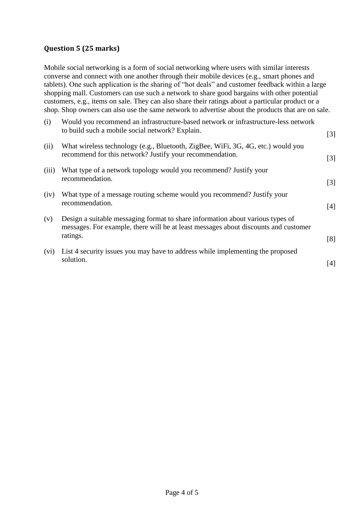# **Question 5 (25 marks)**

Mobile social networking is a form of social networking where users with similar interests converse and connect with one another through their mobile devices (e.g., smart phones and tablets). One such application is the sharing of "hot deals" and customer feedback within a large shopping mall. Customers can use such a network to share good bargains with other potential customers, e.g., items on sale. They can also share their ratings about a particular product or a shop. Shop owners can also use the same network to advertise about the products that are on sale.

| (i)   | Would you recommend an infrastructure-based network or infrastructure-less network<br>to build such a mobile social network? Explain.                                             | $[3]$ |
|-------|-----------------------------------------------------------------------------------------------------------------------------------------------------------------------------------|-------|
| (ii)  | What wireless technology (e.g., Bluetooth, ZigBee, WiFi, 3G, 4G, etc.) would you<br>recommend for this network? Justify your recommendation.                                      | $[3]$ |
| (iii) | What type of a network topology would you recommend? Justify your<br>recommendation.                                                                                              | [3]   |
| (iv)  | What type of a message routing scheme would you recommend? Justify your<br>recommendation.                                                                                        | [4]   |
| (v)   | Design a suitable messaging format to share information about various types of<br>messages. For example, there will be at least messages about discounts and customer<br>ratings. | [8]   |
| (vi)  | List 4 security issues you may have to address while implementing the proposed<br>solution.                                                                                       | [4]   |